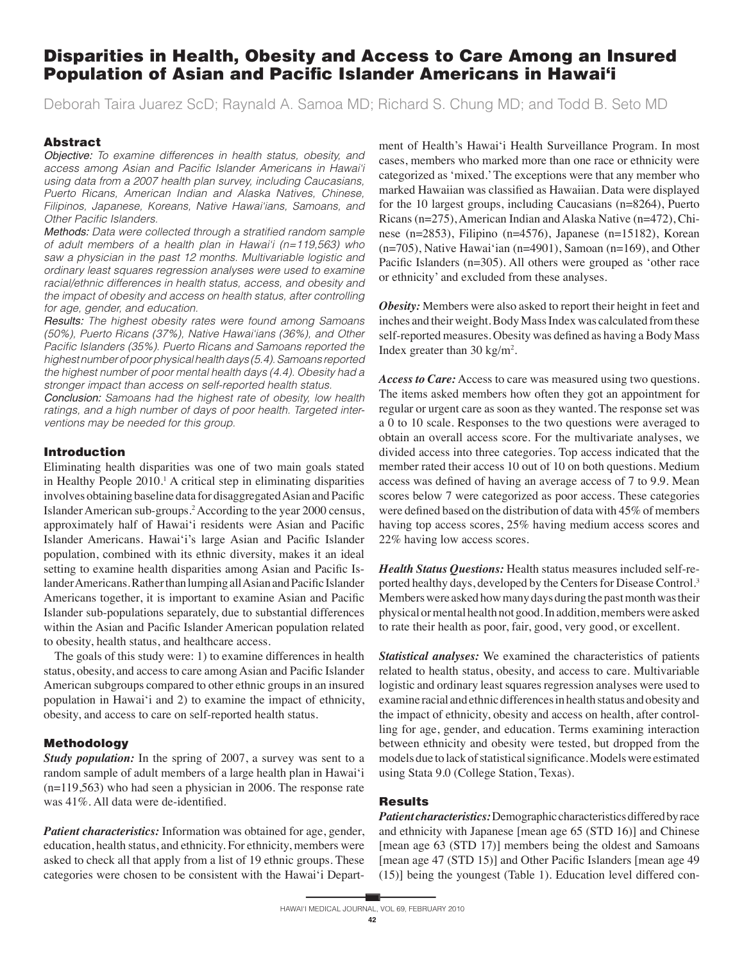# Disparities in Health, Obesity and Access to Care Among an Insured Population of Asian and Pacific Islander Americans in Hawai'i

Deborah Taira Juarez ScD; Raynald A. Samoa MD; Richard S. Chung MD; and Todd B. Seto MD

## Abstract

Objective: To examine differences in health status, obesity, and access among Asian and Pacific Islander Americans in Hawai'i using data from a 2007 health plan survey, including Caucasians, Puerto Ricans, American Indian and Alaska Natives, Chinese, Filipinos, Japanese, Koreans, Native Hawai'ians, Samoans, and Other Pacific Islanders.

Methods: Data were collected through a stratified random sample of adult members of a health plan in Hawai'i (n=119,563) who saw a physician in the past 12 months. Multivariable logistic and ordinary least squares regression analyses were used to examine racial/ethnic differences in health status, access, and obesity and the impact of obesity and access on health status, after controlling for age, gender, and education.

Results: The highest obesity rates were found among Samoans (50%), Puerto Ricans (37%), Native Hawai'ians (36%), and Other Pacific Islanders (35%). Puerto Ricans and Samoans reported the highest number of poor physical health days (5.4). Samoans reported the highest number of poor mental health days (4.4). Obesity had a stronger impact than access on self-reported health status.

Conclusion: Samoans had the highest rate of obesity, low health ratings, and a high number of days of poor health. Targeted interventions may be needed for this group.

#### Introduction

Eliminating health disparities was one of two main goals stated in Healthy People 2010.<sup>1</sup> A critical step in eliminating disparities involves obtaining baseline data for disaggregated Asian and Pacific Islander American sub-groups.2 According to the year 2000 census, approximately half of Hawai'i residents were Asian and Pacific Islander Americans. Hawai'i's large Asian and Pacific Islander population, combined with its ethnic diversity, makes it an ideal setting to examine health disparities among Asian and Pacific Islander Americans. Rather than lumping all Asian and Pacific Islander Americans together, it is important to examine Asian and Pacific Islander sub-populations separately, due to substantial differences within the Asian and Pacific Islander American population related to obesity, health status, and healthcare access.

 The goals of this study were: 1) to examine differences in health status, obesity, and access to care among Asian and Pacific Islander American subgroups compared to other ethnic groups in an insured population in Hawai'i and 2) to examine the impact of ethnicity, obesity, and access to care on self-reported health status.

#### Methodology

*Study population:* In the spring of 2007, a survey was sent to a random sample of adult members of a large health plan in Hawai'i (n=119,563) who had seen a physician in 2006. The response rate was 41%. All data were de-identified.

*Patient characteristics:* Information was obtained for age, gender, education, health status, and ethnicity. For ethnicity, members were asked to check all that apply from a list of 19 ethnic groups. These categories were chosen to be consistent with the Hawai'i Department of Health's Hawai'i Health Surveillance Program. In most cases, members who marked more than one race or ethnicity were categorized as 'mixed.' The exceptions were that any member who marked Hawaiian was classified as Hawaiian. Data were displayed for the 10 largest groups, including Caucasians (n=8264), Puerto Ricans (n=275), American Indian and Alaska Native (n=472), Chinese (n=2853), Filipino (n=4576), Japanese (n=15182), Korean (n=705), Native Hawai'ian (n=4901), Samoan (n=169), and Other Pacific Islanders ( $n=305$ ). All others were grouped as 'other race or ethnicity' and excluded from these analyses.

*Obesity:* Members were also asked to report their height in feet and inches and their weight. Body Mass Index was calculated from these self-reported measures. Obesity was defined as having a Body Mass Index greater than  $30 \text{ kg/m}^2$ .

*Access to Care:* Access to care was measured using two questions. The items asked members how often they got an appointment for regular or urgent care as soon as they wanted. The response set was a 0 to 10 scale. Responses to the two questions were averaged to obtain an overall access score. For the multivariate analyses, we divided access into three categories. Top access indicated that the member rated their access 10 out of 10 on both questions. Medium access was defined of having an average access of 7 to 9.9. Mean scores below 7 were categorized as poor access. These categories were defined based on the distribution of data with 45% of members having top access scores, 25% having medium access scores and 22% having low access scores.

*Health Status Questions:* Health status measures included self-reported healthy days, developed by the Centers for Disease Control.3 Members were asked how many days during the past month was their physical or mental health not good. In addition, members were asked to rate their health as poor, fair, good, very good, or excellent.

*Statistical analyses:* We examined the characteristics of patients related to health status, obesity, and access to care. Multivariable logistic and ordinary least squares regression analyses were used to examine racial and ethnic differences in health status and obesity and the impact of ethnicity, obesity and access on health, after controlling for age, gender, and education. Terms examining interaction between ethnicity and obesity were tested, but dropped from the models due to lack of statistical significance. Models were estimated using Stata 9.0 (College Station, Texas).

### Results

*Patient characteristics:* Demographic characteristics differed by race and ethnicity with Japanese [mean age 65 (STD 16)] and Chinese [mean age 63 (STD 17)] members being the oldest and Samoans [mean age 47 (STD 15)] and Other Pacific Islanders [mean age 49 (15)] being the youngest (Table 1). Education level differed con-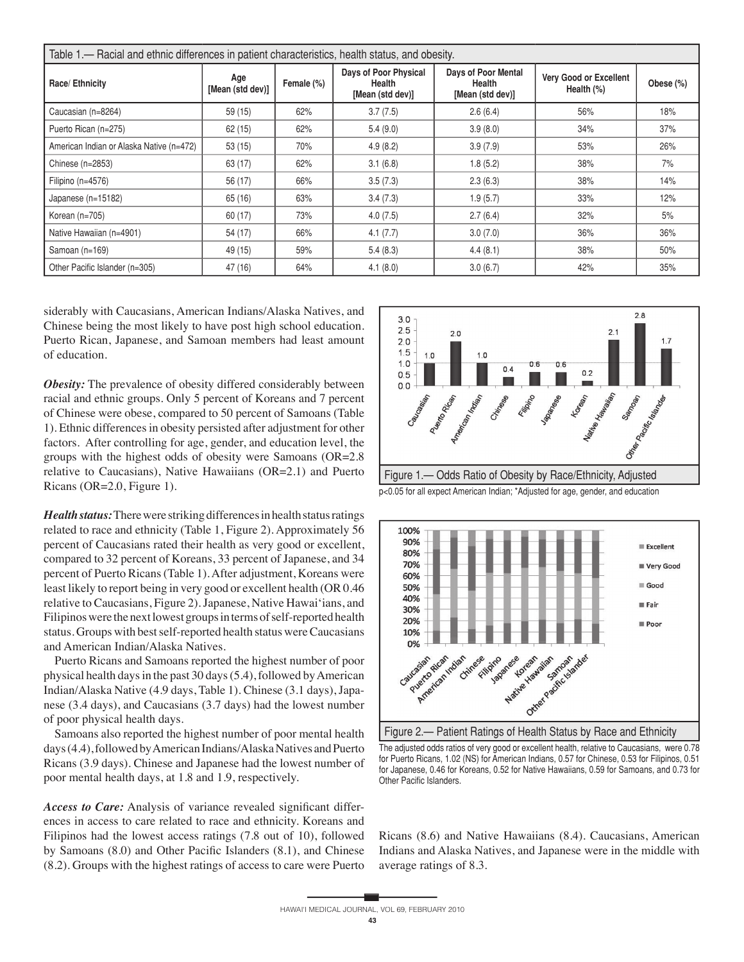| Table 1.— Racial and ethnic differences in patient characteristics, health status, and obesity. |                         |            |                                                     |                                                   |                                      |           |  |  |  |  |
|-------------------------------------------------------------------------------------------------|-------------------------|------------|-----------------------------------------------------|---------------------------------------------------|--------------------------------------|-----------|--|--|--|--|
| Race/Ethnicity                                                                                  | Age<br>[Mean (std dev)] | Female (%) | Days of Poor Physical<br>Health<br>[Mean (std dev)] | Days of Poor Mental<br>Health<br>[Mean (std dev)] | Very Good or Excellent<br>Health (%) | Obese (%) |  |  |  |  |
| Caucasian (n=8264)                                                                              | 59(15)                  | 62%        | 3.7(7.5)                                            | 2.6(6.4)                                          | 56%                                  | 18%       |  |  |  |  |
| Puerto Rican (n=275)                                                                            | 62(15)                  | 62%        | 5.4(9.0)                                            | 3.9(8.0)                                          | 34%                                  | 37%       |  |  |  |  |
| American Indian or Alaska Native (n=472)                                                        | 53(15)                  | 70%        | 4.9(8.2)                                            | 3.9(7.9)                                          | 53%                                  | 26%       |  |  |  |  |
| Chinese $(n=2853)$                                                                              | 63 (17)                 | 62%        | 3.1(6.8)                                            | 1.8(5.2)                                          | 38%                                  | 7%        |  |  |  |  |
| Filipino ( $n=4576$ )                                                                           | 56 (17)                 | 66%        | 3.5(7.3)                                            | 2.3(6.3)                                          | 38%                                  | 14%       |  |  |  |  |
| Japanese (n=15182)                                                                              | 65 (16)                 | 63%        | 3.4(7.3)                                            | 1.9(5.7)                                          | 33%                                  | 12%       |  |  |  |  |
| Korean $(n=705)$                                                                                | 60 (17)                 | 73%        | 4.0(7.5)                                            | 2.7(6.4)                                          | 32%                                  | 5%        |  |  |  |  |
| Native Hawaiian (n=4901)                                                                        | 54 (17)                 | 66%        | 4.1(7.7)                                            | 3.0(7.0)                                          | 36%                                  | 36%       |  |  |  |  |
| Samoan (n=169)                                                                                  | 49 (15)                 | 59%        | 5.4(8.3)                                            | 4.4(8.1)                                          | 38%                                  | 50%       |  |  |  |  |
| Other Pacific Islander (n=305)                                                                  | 47 (16)                 | 64%        | 4.1(8.0)                                            | 3.0(6.7)                                          | 42%                                  | 35%       |  |  |  |  |

siderably with Caucasians, American Indians/Alaska Natives, and Chinese being the most likely to have post high school education. Puerto Rican, Japanese, and Samoan members had least amount of education.

*Obesity:* The prevalence of obesity differed considerably between racial and ethnic groups. Only 5 percent of Koreans and 7 percent of Chinese were obese, compared to 50 percent of Samoans (Table 1). Ethnic differences in obesity persisted after adjustment for other factors. After controlling for age, gender, and education level, the groups with the highest odds of obesity were Samoans (OR=2.8 relative to Caucasians), Native Hawaiians (OR=2.1) and Puerto Ricans (OR=2.0, Figure 1).

*Health status:* There were striking differences in health status ratings related to race and ethnicity (Table 1, Figure 2). Approximately 56 percent of Caucasians rated their health as very good or excellent, compared to 32 percent of Koreans, 33 percent of Japanese, and 34 percent of Puerto Ricans (Table 1). After adjustment, Koreans were least likely to report being in very good or excellent health (OR 0.46 relative to Caucasians, Figure 2). Japanese, Native Hawai'ians, and Filipinos were the next lowest groups in terms of self-reported health status. Groups with best self-reported health status were Caucasians and American Indian/Alaska Natives.

 Puerto Ricans and Samoans reported the highest number of poor physical health days in the past 30 days (5.4), followed by American Indian/Alaska Native (4.9 days, Table 1). Chinese (3.1 days), Japanese (3.4 days), and Caucasians (3.7 days) had the lowest number of poor physical health days.

 Samoans also reported the highest number of poor mental health days (4.4), followed by American Indians/Alaska Natives and Puerto Ricans (3.9 days). Chinese and Japanese had the lowest number of poor mental health days, at 1.8 and 1.9, respectively.

Access to Care: Analysis of variance revealed significant differences in access to care related to race and ethnicity. Koreans and Filipinos had the lowest access ratings (7.8 out of 10), followed by Samoans (8.0) and Other Pacific Islanders (8.1), and Chinese (8.2). Groups with the highest ratings of access to care were Puerto



p<0.05 for all expect American Indian; \*Adjusted for age, gender, and education



The adjusted odds ratios of very good or excellent health, relative to Caucasians, were 0.78 for Puerto Ricans, 1.02 (NS) for American Indians, 0.57 for Chinese, 0.53 for Filipinos, 0.51 for Japanese, 0.46 for Koreans, 0.52 for Native Hawaiians, 0.59 for Samoans, and 0.73 for Other Pacific Islanders.

Ricans (8.6) and Native Hawaiians (8.4). Caucasians, American Indians and Alaska Natives, and Japanese were in the middle with average ratings of 8.3.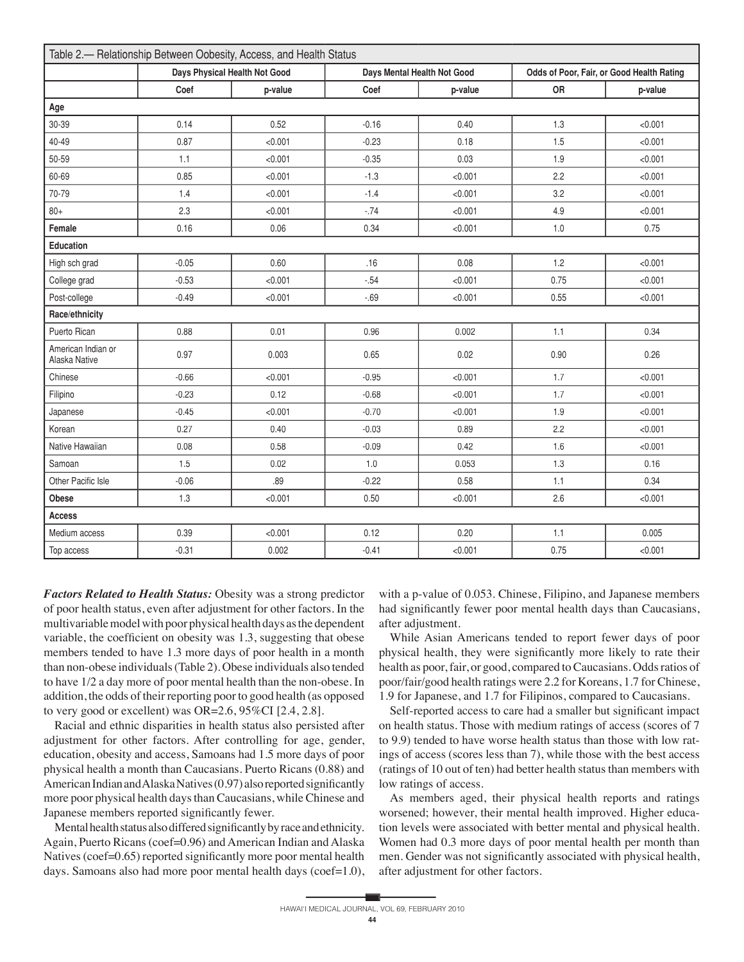| Table 2.- Relationship Between Oobesity, Access, and Health Status |                               |         |                             |         |                                           |         |  |  |  |  |  |
|--------------------------------------------------------------------|-------------------------------|---------|-----------------------------|---------|-------------------------------------------|---------|--|--|--|--|--|
|                                                                    | Days Physical Health Not Good |         | Days Mental Health Not Good |         | Odds of Poor, Fair, or Good Health Rating |         |  |  |  |  |  |
|                                                                    | Coef                          | p-value | Coef                        | p-value | <b>OR</b>                                 | p-value |  |  |  |  |  |
| Age                                                                |                               |         |                             |         |                                           |         |  |  |  |  |  |
| 30-39                                                              | 0.14                          | 0.52    | $-0.16$                     | 0.40    | 1.3                                       | < 0.001 |  |  |  |  |  |
| 40-49                                                              | 0.87                          | < 0.001 | $-0.23$                     | 0.18    | 1.5                                       | < 0.001 |  |  |  |  |  |
| 50-59                                                              | 1.1                           | < 0.001 | $-0.35$                     | 0.03    | 1.9                                       | < 0.001 |  |  |  |  |  |
| 60-69                                                              | 0.85                          | < 0.001 | $-1.3$                      | < 0.001 | 2.2                                       | < 0.001 |  |  |  |  |  |
| 70-79                                                              | 1.4                           | < 0.001 | $-1.4$                      | < 0.001 | 3.2                                       | < 0.001 |  |  |  |  |  |
| $80 +$                                                             | 2.3                           | < 0.001 | $-.74$                      | < 0.001 | 4.9                                       | < 0.001 |  |  |  |  |  |
| Female                                                             | 0.16                          | 0.06    | 0.34                        | < 0.001 | 1.0                                       | 0.75    |  |  |  |  |  |
| <b>Education</b>                                                   |                               |         |                             |         |                                           |         |  |  |  |  |  |
| High sch grad                                                      | $-0.05$                       | 0.60    | .16                         | 0.08    | 1.2                                       | < 0.001 |  |  |  |  |  |
| College grad                                                       | $-0.53$                       | < 0.001 | $-.54$                      | < 0.001 | 0.75                                      | < 0.001 |  |  |  |  |  |
| Post-college                                                       | $-0.49$                       | < 0.001 | $-.69$                      | < 0.001 | 0.55                                      | < 0.001 |  |  |  |  |  |
| Race/ethnicity                                                     |                               |         |                             |         |                                           |         |  |  |  |  |  |
| Puerto Rican                                                       | 0.88                          | 0.01    | 0.96                        | 0.002   | 1.1                                       | 0.34    |  |  |  |  |  |
| American Indian or<br>Alaska Native                                | 0.97                          | 0.003   | 0.65                        | 0.02    | 0.90                                      | 0.26    |  |  |  |  |  |
| Chinese                                                            | $-0.66$                       | < 0.001 | $-0.95$                     | < 0.001 | 1.7                                       | < 0.001 |  |  |  |  |  |
| Filipino                                                           | $-0.23$                       | 0.12    | $-0.68$                     | < 0.001 | 1.7                                       | < 0.001 |  |  |  |  |  |
| Japanese                                                           | $-0.45$                       | < 0.001 | $-0.70$                     | < 0.001 | 1.9                                       | < 0.001 |  |  |  |  |  |
| Korean                                                             | 0.27                          | 0.40    | $-0.03$                     | 0.89    | 2.2                                       | < 0.001 |  |  |  |  |  |
| Native Hawaiian                                                    | 0.08                          | 0.58    | $-0.09$                     | 0.42    | 1.6                                       | < 0.001 |  |  |  |  |  |
| Samoan                                                             | 1.5                           | 0.02    | 1.0                         | 0.053   | 1.3                                       | 0.16    |  |  |  |  |  |
| Other Pacific Isle                                                 | $-0.06$                       | .89     | $-0.22$                     | 0.58    | 1.1                                       | 0.34    |  |  |  |  |  |
| Obese                                                              | 1.3                           | < 0.001 | 0.50                        | < 0.001 | 2.6                                       | < 0.001 |  |  |  |  |  |
| <b>Access</b>                                                      |                               |         |                             |         |                                           |         |  |  |  |  |  |
| Medium access                                                      | 0.39                          | < 0.001 | 0.12                        | 0.20    | 1.1                                       | 0.005   |  |  |  |  |  |
| Top access                                                         | $-0.31$                       | 0.002   | $-0.41$                     | < 0.001 | 0.75                                      | < 0.001 |  |  |  |  |  |

*Factors Related to Health Status:* Obesity was a strong predictor of poor health status, even after adjustment for other factors. In the multivariable model with poor physical health days as the dependent variable, the coefficient on obesity was 1.3, suggesting that obese members tended to have 1.3 more days of poor health in a month than non-obese individuals (Table 2). Obese individuals also tended to have 1/2 a day more of poor mental health than the non-obese. In addition, the odds of their reporting poor to good health (as opposed to very good or excellent) was OR=2.6, 95%CI [2.4, 2.8].

 Racial and ethnic disparities in health status also persisted after adjustment for other factors. After controlling for age, gender, education, obesity and access, Samoans had 1.5 more days of poor physical health a month than Caucasians. Puerto Ricans (0.88) and American Indian and Alaska Natives (0.97) also reported significantly more poor physical health days than Caucasians, while Chinese and Japanese members reported significantly fewer.

Mental health status also differed significantly by race and ethnicity. Again, Puerto Ricans (coef=0.96) and American Indian and Alaska Natives ( $\text{coef}=0.65$ ) reported significantly more poor mental health days. Samoans also had more poor mental health days (coef=1.0),

with a p-value of 0.053. Chinese, Filipino, and Japanese members had significantly fewer poor mental health days than Caucasians, after adjustment.

 While Asian Americans tended to report fewer days of poor physical health, they were significantly more likely to rate their health as poor, fair, or good, compared to Caucasians. Odds ratios of poor/fair/good health ratings were 2.2 for Koreans, 1.7 for Chinese, 1.9 for Japanese, and 1.7 for Filipinos, compared to Caucasians.

Self-reported access to care had a smaller but significant impact on health status. Those with medium ratings of access (scores of 7 to 9.9) tended to have worse health status than those with low ratings of access (scores less than 7), while those with the best access (ratings of 10 out of ten) had better health status than members with low ratings of access.

 As members aged, their physical health reports and ratings worsened; however, their mental health improved. Higher education levels were associated with better mental and physical health. Women had 0.3 more days of poor mental health per month than men. Gender was not significantly associated with physical health, after adjustment for other factors.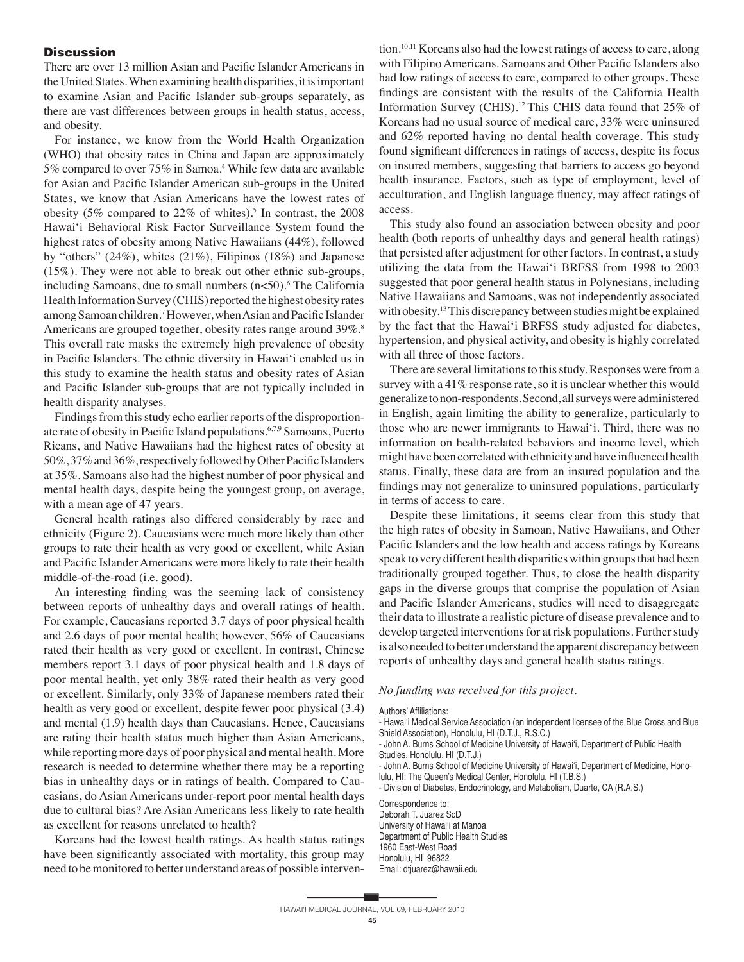### **Discussion**

There are over 13 million Asian and Pacific Islander Americans in the United States. When examining health disparities, it is important to examine Asian and Pacific Islander sub-groups separately, as there are vast differences between groups in health status, access, and obesity.

 For instance, we know from the World Health Organization (WHO) that obesity rates in China and Japan are approximately 5% compared to over 75% in Samoa.<sup>4</sup> While few data are available for Asian and Pacific Islander American sub-groups in the United States, we know that Asian Americans have the lowest rates of obesity (5% compared to  $22\%$  of whites).<sup>5</sup> In contrast, the 2008 Hawai'i Behavioral Risk Factor Surveillance System found the highest rates of obesity among Native Hawaiians (44%), followed by "others" (24%), whites (21%), Filipinos (18%) and Japanese (15%). They were not able to break out other ethnic sub-groups, including Samoans, due to small numbers (n<50).<sup>6</sup> The California Health Information Survey (CHIS) reported the highest obesity rates among Samoan children.<sup>7</sup> However, when Asian and Pacific Islander Americans are grouped together, obesity rates range around 39%.<sup>8</sup> This overall rate masks the extremely high prevalence of obesity in Pacific Islanders. The ethnic diversity in Hawai'i enabled us in this study to examine the health status and obesity rates of Asian and Pacific Islander sub-groups that are not typically included in health disparity analyses.

 Findings from this study echo earlier reports of the disproportionate rate of obesity in Pacific Island populations.<sup>6,7,9</sup> Samoans, Puerto Ricans, and Native Hawaiians had the highest rates of obesity at 50%, 37% and 36%, respectively followed by Other Pacific Islanders at 35%. Samoans also had the highest number of poor physical and mental health days, despite being the youngest group, on average, with a mean age of 47 years.

 General health ratings also differed considerably by race and ethnicity (Figure 2). Caucasians were much more likely than other groups to rate their health as very good or excellent, while Asian and Pacific Islander Americans were more likely to rate their health middle-of-the-road (i.e. good).

An interesting finding was the seeming lack of consistency between reports of unhealthy days and overall ratings of health. For example, Caucasians reported 3.7 days of poor physical health and 2.6 days of poor mental health; however, 56% of Caucasians rated their health as very good or excellent. In contrast, Chinese members report 3.1 days of poor physical health and 1.8 days of poor mental health, yet only 38% rated their health as very good or excellent. Similarly, only 33% of Japanese members rated their health as very good or excellent, despite fewer poor physical (3.4) and mental (1.9) health days than Caucasians. Hence, Caucasians are rating their health status much higher than Asian Americans, while reporting more days of poor physical and mental health. More research is needed to determine whether there may be a reporting bias in unhealthy days or in ratings of health. Compared to Caucasians, do Asian Americans under-report poor mental health days due to cultural bias? Are Asian Americans less likely to rate health as excellent for reasons unrelated to health?

 Koreans had the lowest health ratings. As health status ratings have been significantly associated with mortality, this group may need to be monitored to better understand areas of possible interven-

tion.<sup>10,11</sup> Koreans also had the lowest ratings of access to care, along with Filipino Americans. Samoans and Other Pacific Islanders also had low ratings of access to care, compared to other groups. These findings are consistent with the results of the California Health Information Survey (CHIS).12 This CHIS data found that 25% of Koreans had no usual source of medical care, 33% were uninsured and 62% reported having no dental health coverage. This study found significant differences in ratings of access, despite its focus on insured members, suggesting that barriers to access go beyond health insurance. Factors, such as type of employment, level of acculturation, and English language fluency, may affect ratings of access.

 This study also found an association between obesity and poor health (both reports of unhealthy days and general health ratings) that persisted after adjustment for other factors. In contrast, a study utilizing the data from the Hawai'i BRFSS from 1998 to 2003 suggested that poor general health status in Polynesians, including Native Hawaiians and Samoans, was not independently associated with obesity.13 This discrepancy between studies might be explained by the fact that the Hawai'i BRFSS study adjusted for diabetes, hypertension, and physical activity, and obesity is highly correlated with all three of those factors.

 There are several limitations to this study. Responses were from a survey with a 41% response rate, so it is unclear whether this would generalize to non-respondents. Second, all surveys were administered in English, again limiting the ability to generalize, particularly to those who are newer immigrants to Hawai'i. Third, there was no information on health-related behaviors and income level, which might have been correlated with ethnicity and have influenced health status. Finally, these data are from an insured population and the findings may not generalize to uninsured populations, particularly in terms of access to care.

 Despite these limitations, it seems clear from this study that the high rates of obesity in Samoan, Native Hawaiians, and Other Pacific Islanders and the low health and access ratings by Koreans speak to very different health disparities within groups that had been traditionally grouped together. Thus, to close the health disparity gaps in the diverse groups that comprise the population of Asian and Pacific Islander Americans, studies will need to disaggregate their data to illustrate a realistic picture of disease prevalence and to develop targeted interventions for at risk populations. Further study is also needed to better understand the apparent discrepancy between reports of unhealthy days and general health status ratings.

#### *No funding was received for this project.*

#### Authors' Affiliations:

- Hawai'i Medical Service Association (an independent licensee of the Blue Cross and Blue Shield Association), Honolulu, HI (D.T.J., R.S.C.)

- John A. Burns School of Medicine University of Hawai'i, Department of Public Health Studies, Honolulu, HI (D.T.J.)

- John A. Burns School of Medicine University of Hawai'i, Department of Medicine, Honolulu, HI; The Queen's Medical Center, Honolulu, HI (T.B.S.)

- Division of Diabetes, Endocrinology, and Metabolism, Duarte, CA (R.A.S.)

Correspondence to: Deborah T. Juarez ScD University of Hawai'i at Manoa Department of Public Health Studies 1960 East-West Road Honolulu, HI 96822

Email: dtjuarez@hawaii.edu